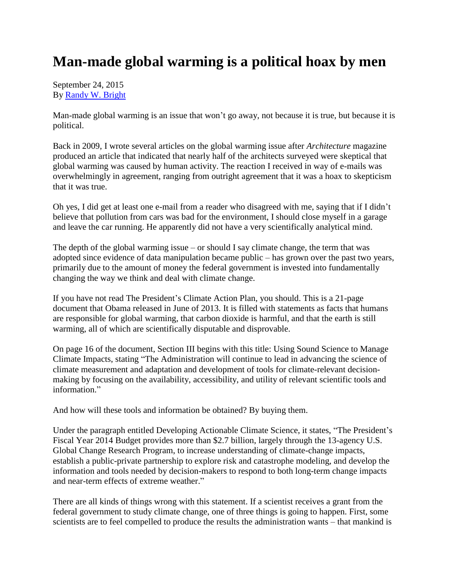## **Man-made global warming is a political hoax by men**

September 24, 2015 By [Randy W. Bright](http://www.tulsabeacon.com/author/slug-o6yd1v)

Man-made global warming is an issue that won't go away, not because it is true, but because it is political.

Back in 2009, I wrote several articles on the global warming issue after *Architecture* magazine produced an article that indicated that nearly half of the architects surveyed were skeptical that global warming was caused by human activity. The reaction I received in way of e-mails was overwhelmingly in agreement, ranging from outright agreement that it was a hoax to skepticism that it was true.

Oh yes, I did get at least one e-mail from a reader who disagreed with me, saying that if I didn't believe that pollution from cars was bad for the environment, I should close myself in a garage and leave the car running. He apparently did not have a very scientifically analytical mind.

The depth of the global warming issue – or should I say climate change, the term that was adopted since evidence of data manipulation became public – has grown over the past two years, primarily due to the amount of money the federal government is invested into fundamentally changing the way we think and deal with climate change.

If you have not read The President's Climate Action Plan, you should. This is a 21-page document that Obama released in June of 2013. It is filled with statements as facts that humans are responsible for global warming, that carbon dioxide is harmful, and that the earth is still warming, all of which are scientifically disputable and disprovable.

On page 16 of the document, Section III begins with this title: Using Sound Science to Manage Climate Impacts, stating "The Administration will continue to lead in advancing the science of climate measurement and adaptation and development of tools for climate-relevant decisionmaking by focusing on the availability, accessibility, and utility of relevant scientific tools and information."

And how will these tools and information be obtained? By buying them.

Under the paragraph entitled Developing Actionable Climate Science, it states, "The President's Fiscal Year 2014 Budget provides more than \$2.7 billion, largely through the 13-agency U.S. Global Change Research Program, to increase understanding of climate-change impacts, establish a public-private partnership to explore risk and catastrophe modeling, and develop the information and tools needed by decision-makers to respond to both long-term change impacts and near-term effects of extreme weather."

There are all kinds of things wrong with this statement. If a scientist receives a grant from the federal government to study climate change, one of three things is going to happen. First, some scientists are to feel compelled to produce the results the administration wants – that mankind is